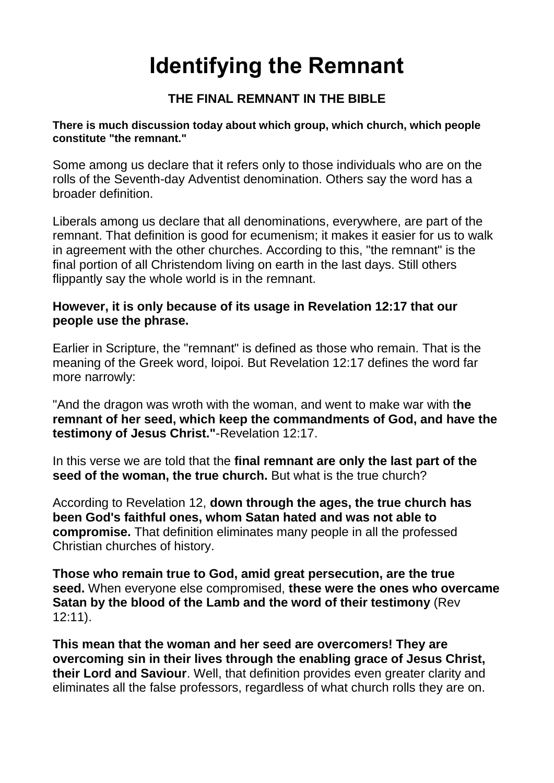# **Identifying the Remnant**

## **THE FINAL REMNANT IN THE BIBLE**

#### **There is much discussion today about which group, which church, which people constitute "the remnant."**

Some among us declare that it refers only to those individuals who are on the rolls of the Seventh-day Adventist denomination. Others say the word has a broader definition.

Liberals among us declare that all denominations, everywhere, are part of the remnant. That definition is good for ecumenism; it makes it easier for us to walk in agreement with the other churches. According to this, "the remnant" is the final portion of all Christendom living on earth in the last days. Still others flippantly say the whole world is in the remnant.

#### **However, it is only because of its usage in Revelation 12:17 that our people use the phrase.**

Earlier in Scripture, the "remnant" is defined as those who remain. That is the meaning of the Greek word, loipoi. But Revelation 12:17 defines the word far more narrowly:

"And the dragon was wroth with the woman, and went to make war with t**he remnant of her seed, which keep the commandments of God, and have the testimony of Jesus Christ."**-Revelation 12:17.

In this verse we are told that the **final remnant are only the last part of the seed of the woman, the true church.** But what is the true church?

According to Revelation 12, **down through the ages, the true church has been God's faithful ones, whom Satan hated and was not able to compromise.** That definition eliminates many people in all the professed Christian churches of history.

**Those who remain true to God, amid great persecution, are the true seed.** When everyone else compromised, **these were the ones who overcame Satan by the blood of the Lamb and the word of their testimony** (Rev 12:11).

**This mean that the woman and her seed are overcomers! They are overcoming sin in their lives through the enabling grace of Jesus Christ, their Lord and Saviour**. Well, that definition provides even greater clarity and eliminates all the false professors, regardless of what church rolls they are on.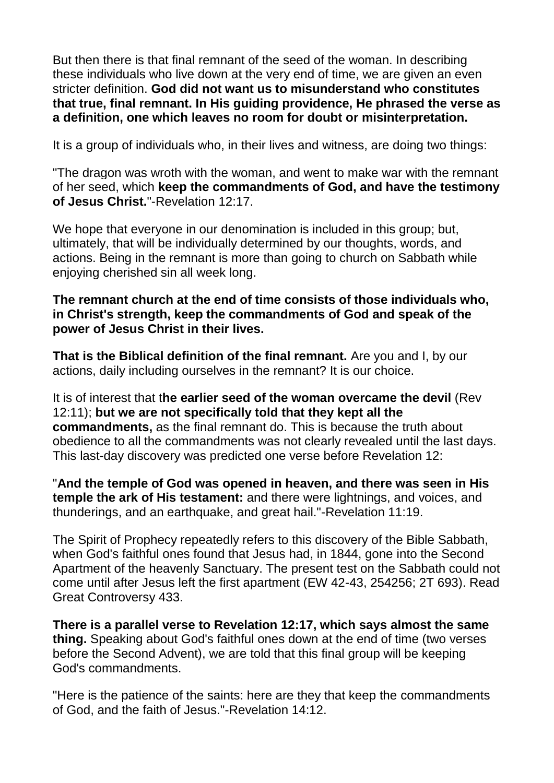But then there is that final remnant of the seed of the woman. In describing these individuals who live down at the very end of time, we are given an even stricter definition. **God did not want us to misunderstand who constitutes that true, final remnant. In His guiding providence, He phrased the verse as a definition, one which leaves no room for doubt or misinterpretation.**

It is a group of individuals who, in their lives and witness, are doing two things:

"The dragon was wroth with the woman, and went to make war with the remnant of her seed, which **keep the commandments of God, and have the testimony of Jesus Christ.**"-Revelation 12:17.

We hope that everyone in our denomination is included in this group; but, ultimately, that will be individually determined by our thoughts, words, and actions. Being in the remnant is more than going to church on Sabbath while enjoying cherished sin all week long.

#### **The remnant church at the end of time consists of those individuals who, in Christ's strength, keep the commandments of God and speak of the power of Jesus Christ in their lives.**

**That is the Biblical definition of the final remnant.** Are you and I, by our actions, daily including ourselves in the remnant? It is our choice.

It is of interest that t**he earlier seed of the woman overcame the devil** (Rev 12:11); **but we are not specifically told that they kept all the commandments,** as the final remnant do. This is because the truth about obedience to all the commandments was not clearly revealed until the last days. This last-day discovery was predicted one verse before Revelation 12:

"**And the temple of God was opened in heaven, and there was seen in His temple the ark of His testament:** and there were lightnings, and voices, and thunderings, and an earthquake, and great hail."-Revelation 11:19.

The Spirit of Prophecy repeatedly refers to this discovery of the Bible Sabbath, when God's faithful ones found that Jesus had, in 1844, gone into the Second Apartment of the heavenly Sanctuary. The present test on the Sabbath could not come until after Jesus left the first apartment (EW 42-43, 254256; 2T 693). Read Great Controversy 433.

**There is a parallel verse to Revelation 12:17, which says almost the same thing.** Speaking about God's faithful ones down at the end of time (two verses before the Second Advent), we are told that this final group will be keeping God's commandments.

"Here is the patience of the saints: here are they that keep the commandments of God, and the faith of Jesus."-Revelation 14:12.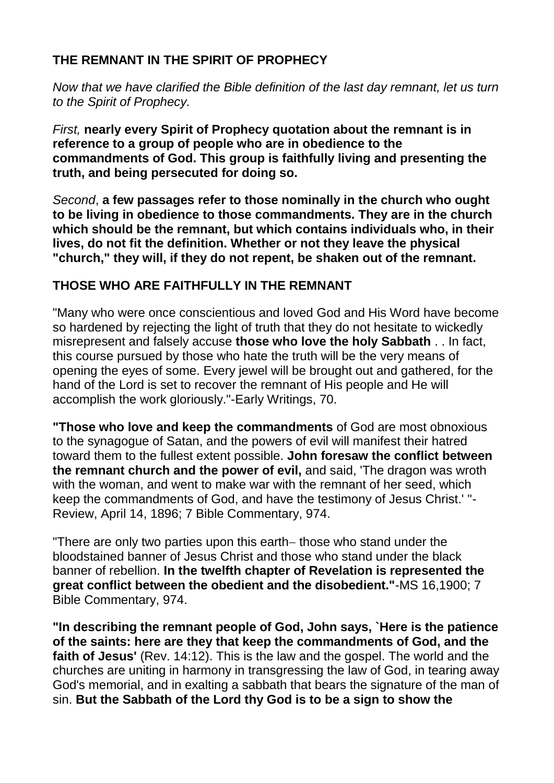## **THE REMNANT IN THE SPIRIT OF PROPHECY**

*Now that we have clarified the Bible definition of the last day remnant, let us turn to the Spirit of Prophecy.*

*First,* **nearly every Spirit of Prophecy quotation about the remnant is in reference to a group of people who are in obedience to the commandments of God. This group is faithfully living and presenting the truth, and being persecuted for doing so.**

*Second*, **a few passages refer to those nominally in the church who ought to be living in obedience to those commandments. They are in the church which should be the remnant, but which contains individuals who, in their lives, do not fit the definition. Whether or not they leave the physical "church," they will, if they do not repent, be shaken out of the remnant.**

## **THOSE WHO ARE FAITHFULLY IN THE REMNANT**

"Many who were once conscientious and loved God and His Word have become so hardened by rejecting the light of truth that they do not hesitate to wickedly misrepresent and falsely accuse **those who love the holy Sabbath** . . In fact, this course pursued by those who hate the truth will be the very means of opening the eyes of some. Every jewel will be brought out and gathered, for the hand of the Lord is set to recover the remnant of His people and He will accomplish the work gloriously."-Early Writings, 70.

**"Those who love and keep the commandments** of God are most obnoxious to the synagogue of Satan, and the powers of evil will manifest their hatred toward them to the fullest extent possible. **John foresaw the conflict between the remnant church and the power of evil,** and said, 'The dragon was wroth with the woman, and went to make war with the remnant of her seed, which keep the commandments of God, and have the testimony of Jesus Christ.' "- Review, April 14, 1896; 7 Bible Commentary, 974.

"There are only two parties upon this earth-those who stand under the bloodstained banner of Jesus Christ and those who stand under the black banner of rebellion. **In the twelfth chapter of Revelation is represented the great conflict between the obedient and the disobedient."**-MS 16,1900; 7 Bible Commentary, 974.

**"In describing the remnant people of God, John says, `Here is the patience of the saints: here are they that keep the commandments of God, and the faith of Jesus'** (Rev. 14:12). This is the law and the gospel. The world and the churches are uniting in harmony in transgressing the law of God, in tearing away God's memorial, and in exalting a sabbath that bears the signature of the man of sin. **But the Sabbath of the Lord thy God is to be a sign to show the**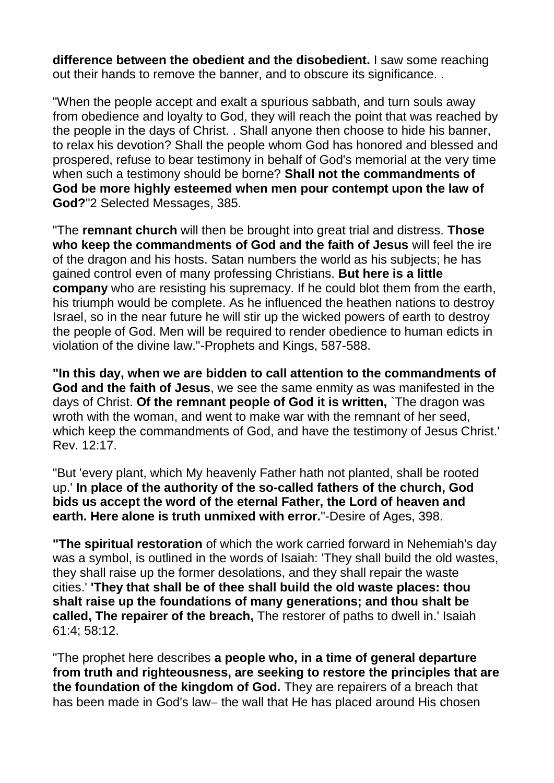**difference between the obedient and the disobedient.** I saw some reaching out their hands to remove the banner, and to obscure its significance. .

"When the people accept and exalt a spurious sabbath, and turn souls away from obedience and loyalty to God, they will reach the point that was reached by the people in the days of Christ. . Shall anyone then choose to hide his banner, to relax his devotion? Shall the people whom God has honored and blessed and prospered, refuse to bear testimony in behalf of God's memorial at the very time when such a testimony should be borne? **Shall not the commandments of God be more highly esteemed when men pour contempt upon the law of God?**"2 Selected Messages, 385.

"The **remnant church** will then be brought into great trial and distress. **Those who keep the commandments of God and the faith of Jesus** will feel the ire of the dragon and his hosts. Satan numbers the world as his subjects; he has gained control even of many professing Christians. **But here is a little company** who are resisting his supremacy. If he could blot them from the earth, his triumph would be complete. As he influenced the heathen nations to destroy Israel, so in the near future he will stir up the wicked powers of earth to destroy the people of God. Men will be required to render obedience to human edicts in violation of the divine law."-Prophets and Kings, 587-588.

**"In this day, when we are bidden to call attention to the commandments of God and the faith of Jesus**, we see the same enmity as was manifested in the days of Christ. **Of the remnant people of God it is written,** `The dragon was wroth with the woman, and went to make war with the remnant of her seed, which keep the commandments of God, and have the testimony of Jesus Christ.' Rev. 12:17.

"But 'every plant, which My heavenly Father hath not planted, shall be rooted up.' **In place of the authority of the so-called fathers of the church, God bids us accept the word of the eternal Father, the Lord of heaven and earth. Here alone is truth unmixed with error.**"-Desire of Ages, 398.

**"The spiritual restoration** of which the work carried forward in Nehemiah's day was a symbol, is outlined in the words of Isaiah: 'They shall build the old wastes, they shall raise up the former desolations, and they shall repair the waste cities.' **'They that shall be of thee shall build the old waste places: thou shalt raise up the foundations of many generations; and thou shalt be called, The repairer of the breach,** The restorer of paths to dwell in.' Isaiah 61:4; 58:12.

"The prophet here describes **a people who, in a time of general departure from truth and righteousness, are seeking to restore the principles that are the foundation of the kingdom of God.** They are repairers of a breach that has been made in God's law- the wall that He has placed around His chosen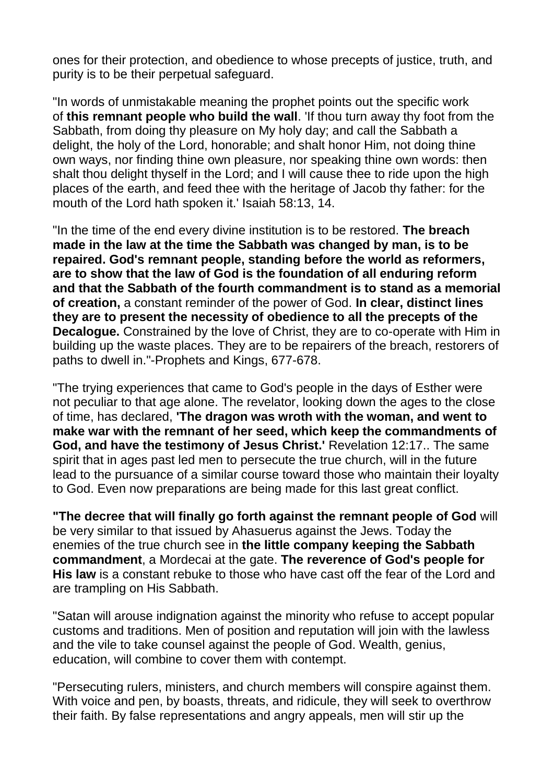ones for their protection, and obedience to whose precepts of justice, truth, and purity is to be their perpetual safeguard.

"In words of unmistakable meaning the prophet points out the specific work of **this remnant people who build the wall**. 'If thou turn away thy foot from the Sabbath, from doing thy pleasure on My holy day; and call the Sabbath a delight, the holy of the Lord, honorable; and shalt honor Him, not doing thine own ways, nor finding thine own pleasure, nor speaking thine own words: then shalt thou delight thyself in the Lord; and I will cause thee to ride upon the high places of the earth, and feed thee with the heritage of Jacob thy father: for the mouth of the Lord hath spoken it.' Isaiah 58:13, 14.

"In the time of the end every divine institution is to be restored. **The breach made in the law at the time the Sabbath was changed by man, is to be repaired. God's remnant people, standing before the world as reformers, are to show that the law of God is the foundation of all enduring reform and that the Sabbath of the fourth commandment is to stand as a memorial of creation,** a constant reminder of the power of God. **In clear, distinct lines they are to present the necessity of obedience to all the precepts of the Decalogue.** Constrained by the love of Christ, they are to co-operate with Him in building up the waste places. They are to be repairers of the breach, restorers of paths to dwell in."-Prophets and Kings, 677-678.

"The trying experiences that came to God's people in the days of Esther were not peculiar to that age alone. The revelator, looking down the ages to the close of time, has declared, **'The dragon was wroth with the woman, and went to make war with the remnant of her seed, which keep the commandments of God, and have the testimony of Jesus Christ.'** Revelation 12:17.. The same spirit that in ages past led men to persecute the true church, will in the future lead to the pursuance of a similar course toward those who maintain their loyalty to God. Even now preparations are being made for this last great conflict.

**"The decree that will finally go forth against the remnant people of God** will be very similar to that issued by Ahasuerus against the Jews. Today the enemies of the true church see in **the little company keeping the Sabbath commandment**, a Mordecai at the gate. **The reverence of God's people for His law** is a constant rebuke to those who have cast off the fear of the Lord and are trampling on His Sabbath.

"Satan will arouse indignation against the minority who refuse to accept popular customs and traditions. Men of position and reputation will join with the lawless and the vile to take counsel against the people of God. Wealth, genius, education, will combine to cover them with contempt.

"Persecuting rulers, ministers, and church members will conspire against them. With voice and pen, by boasts, threats, and ridicule, they will seek to overthrow their faith. By false representations and angry appeals, men will stir up the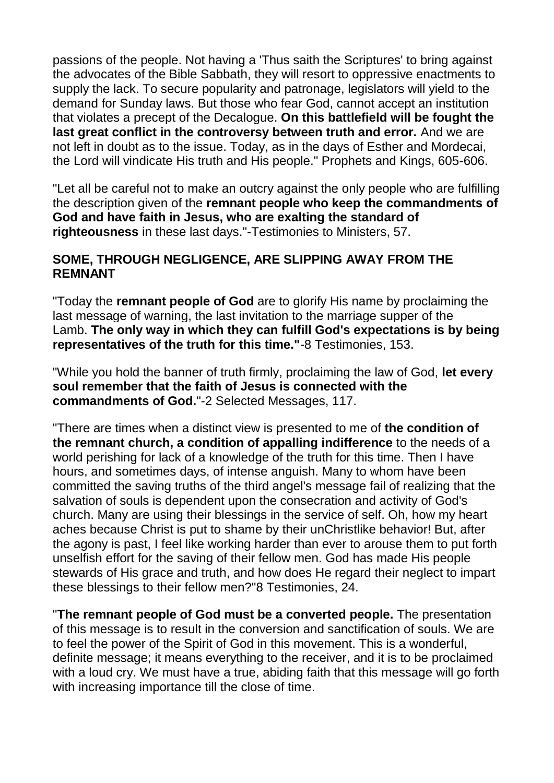passions of the people. Not having a 'Thus saith the Scriptures' to bring against the advocates of the Bible Sabbath, they will resort to oppressive enactments to supply the lack. To secure popularity and patronage, legislators will yield to the demand for Sunday laws. But those who fear God, cannot accept an institution that violates a precept of the Decalogue. **On this battlefield will be fought the last great conflict in the controversy between truth and error.** And we are not left in doubt as to the issue. Today, as in the days of Esther and Mordecai, the Lord will vindicate His truth and His people." Prophets and Kings, 605-606.

"Let all be careful not to make an outcry against the only people who are fulfilling the description given of the **remnant people who keep the commandments of God and have faith in Jesus, who are exalting the standard of righteousness** in these last days."-Testimonies to Ministers, 57.

### **SOME, THROUGH NEGLIGENCE, ARE SLIPPING AWAY FROM THE REMNANT**

"Today the **remnant people of God** are to glorify His name by proclaiming the last message of warning, the last invitation to the marriage supper of the Lamb. **The only way in which they can fulfill God's expectations is by being representatives of the truth for this time."**-8 Testimonies, 153.

"While you hold the banner of truth firmly, proclaiming the law of God, **let every soul remember that the faith of Jesus is connected with the commandments of God.**"-2 Selected Messages, 117.

"There are times when a distinct view is presented to me of **the condition of the remnant church, a condition of appalling indifference** to the needs of a world perishing for lack of a knowledge of the truth for this time. Then I have hours, and sometimes days, of intense anguish. Many to whom have been committed the saving truths of the third angel's message fail of realizing that the salvation of souls is dependent upon the consecration and activity of God's church. Many are using their blessings in the service of self. Oh, how my heart aches because Christ is put to shame by their unChristlike behavior! But, after the agony is past, I feel like working harder than ever to arouse them to put forth unselfish effort for the saving of their fellow men. God has made His people stewards of His grace and truth, and how does He regard their neglect to impart these blessings to their fellow men?"8 Testimonies, 24.

"**The remnant people of God must be a converted people.** The presentation of this message is to result in the conversion and sanctification of souls. We are to feel the power of the Spirit of God in this movement. This is a wonderful, definite message; it means everything to the receiver, and it is to be proclaimed with a loud cry. We must have a true, abiding faith that this message will go forth with increasing importance till the close of time.